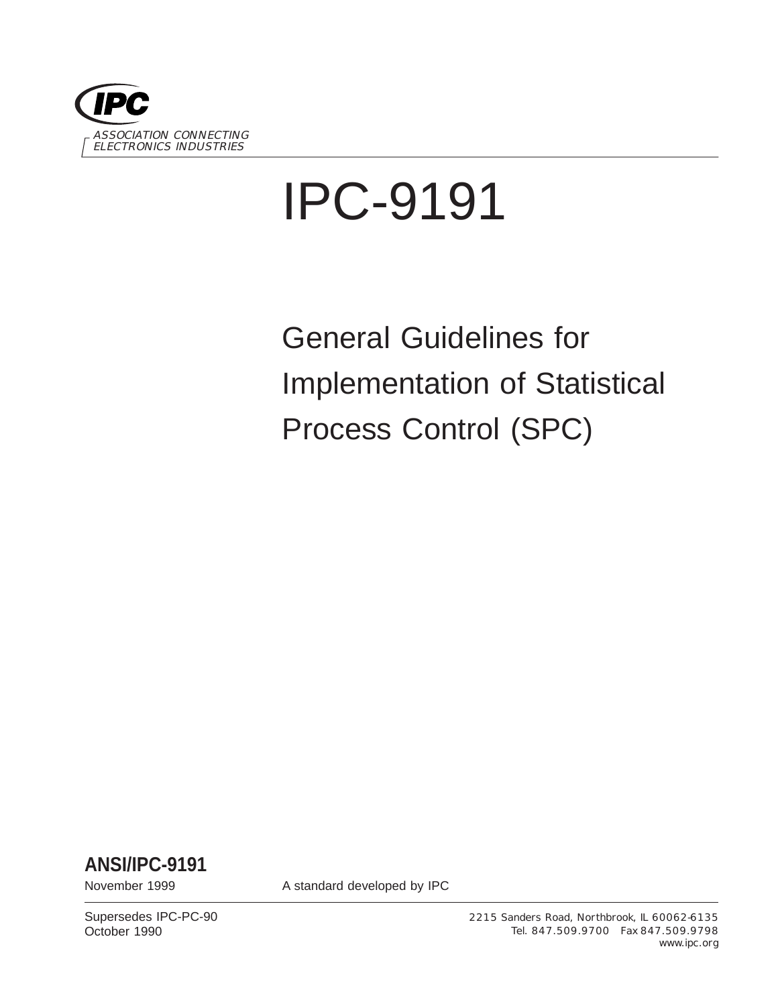

# IPC-9191

General Guidelines for Implementation of Statistical Process Control (SPC)

**ANSI/IPC-9191**

November 1999 **A standard developed by IPC** 

Supersedes IPC-PC-90 October 1990

2215 Sanders Road, Northbrook, IL 60062-6135 Tel. 847.509.9700 Fax 847.509.9798 www.ipc.org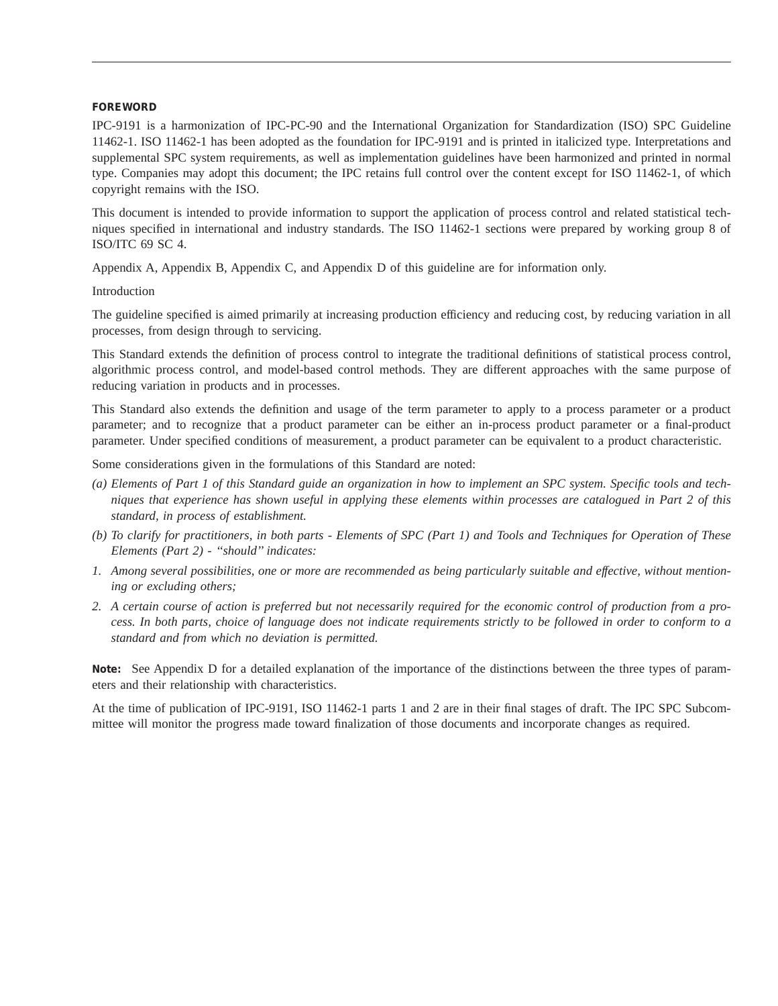#### **FOREWORD**

IPC-9191 is a harmonization of IPC-PC-90 and the International Organization for Standardization (ISO) SPC Guideline 11462-1. ISO 11462-1 has been adopted as the foundation for IPC-9191 and is printed in italicized type. Interpretations and supplemental SPC system requirements, as well as implementation guidelines have been harmonized and printed in normal type. Companies may adopt this document; the IPC retains full control over the content except for ISO 11462-1, of which copyright remains with the ISO.

This document is intended to provide information to support the application of process control and related statistical techniques specified in international and industry standards. The ISO 11462-1 sections were prepared by working group 8 of ISO/ITC 69 SC 4.

Appendix A, Appendix B, Appendix C, and Appendix D of this guideline are for information only.

Introduction

The guideline specified is aimed primarily at increasing production efficiency and reducing cost, by reducing variation in all processes, from design through to servicing.

This Standard extends the definition of process control to integrate the traditional definitions of statistical process control, algorithmic process control, and model-based control methods. They are different approaches with the same purpose of reducing variation in products and in processes.

This Standard also extends the definition and usage of the term parameter to apply to a process parameter or a product parameter; and to recognize that a product parameter can be either an in-process product parameter or a final-product parameter. Under specified conditions of measurement, a product parameter can be equivalent to a product characteristic.

Some considerations given in the formulations of this Standard are noted:

- *(a) Elements of Part 1 of this Standard guide an organization in how to implement an SPC system. Specific tools and techniques that experience has shown useful in applying these elements within processes are catalogued in Part 2 of this standard, in process of establishment.*
- *(b) To clarify for practitioners, in both parts Elements of SPC (Part 1) and Tools and Techniques for Operation of These Elements (Part 2) - ''should'' indicates:*
- *1. Among several possibilities, one or more are recommended as being particularly suitable and effective, without mentioning or excluding others;*
- *2. A certain course of action is preferred but not necessarily required for the economic control of production from a process. In both parts, choice of language does not indicate requirements strictly to be followed in order to conform to a standard and from which no deviation is permitted.*

**Note:** See Appendix D for a detailed explanation of the importance of the distinctions between the three types of parameters and their relationship with characteristics.

At the time of publication of IPC-9191, ISO 11462-1 parts 1 and 2 are in their final stages of draft. The IPC SPC Subcommittee will monitor the progress made toward finalization of those documents and incorporate changes as required.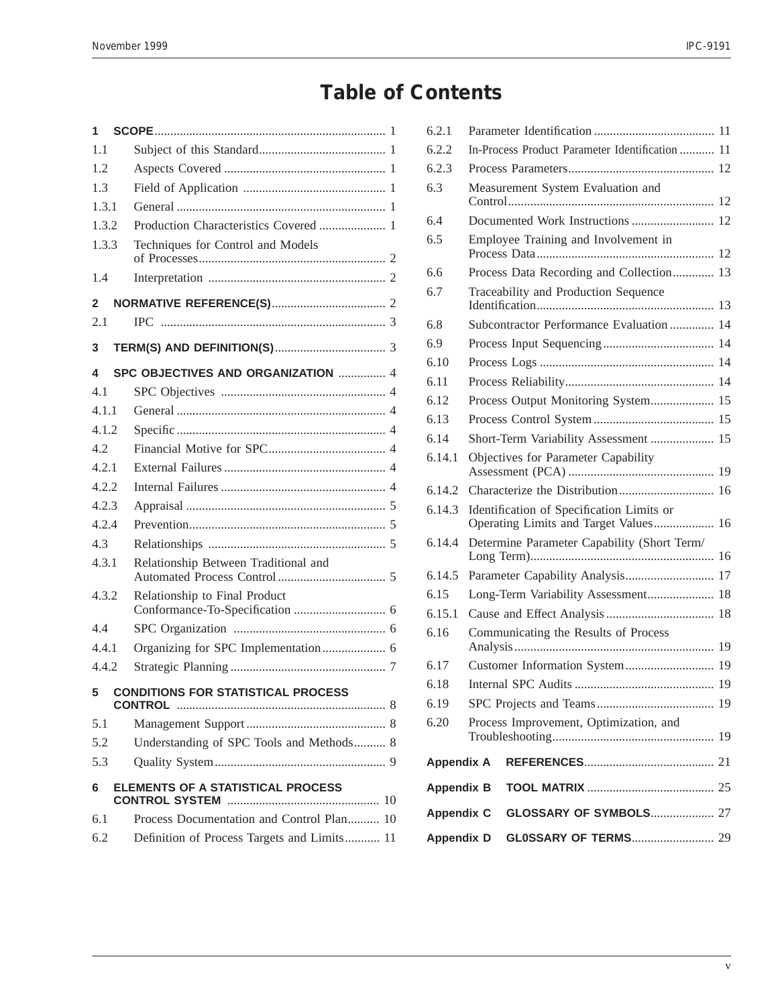## **Table of Contents**

| 1     |                                             |
|-------|---------------------------------------------|
| 1.1   |                                             |
| 1.2   |                                             |
| 1.3   |                                             |
| 1.3.1 |                                             |
| 1.3.2 | Production Characteristics Covered  1       |
| 1.3.3 | Techniques for Control and Models           |
|       |                                             |
| 1.4   |                                             |
| 2     |                                             |
| 2.1   |                                             |
| 3     |                                             |
| 4     | SPC OBJECTIVES AND ORGANIZATION  4          |
| 4.1   |                                             |
| 4.1.1 |                                             |
| 4.1.2 |                                             |
| 4.2   |                                             |
| 4.2.1 |                                             |
| 4.2.2 |                                             |
| 4.2.3 |                                             |
| 4.2.4 |                                             |
| 4.3   |                                             |
| 4.3.1 | Relationship Between Traditional and        |
| 4.3.2 | Relationship to Final Product               |
| 4.4   |                                             |
| 4.4.1 |                                             |
| 4.4.2 |                                             |
| 5     | <b>CONDITIONS FOR STATISTICAL PROCESS</b>   |
| 5.1   |                                             |
| 5.2   | Understanding of SPC Tools and Methods 8    |
| 5.3   |                                             |
| 6     | ELEMENTS OF A STATISTICAL PROCESS           |
| 6.1   | Process Documentation and Control Plan 10   |
| 6.2   | Definition of Process Targets and Limits 11 |
|       |                                             |

| 6.2.1             |                                                 |                                                                                    |    |  |
|-------------------|-------------------------------------------------|------------------------------------------------------------------------------------|----|--|
| 6.2.2             | In-Process Product Parameter Identification  11 |                                                                                    |    |  |
| 6.2.3             |                                                 |                                                                                    |    |  |
| 6.3               |                                                 | Measurement System Evaluation and                                                  |    |  |
| 6.4               |                                                 | Documented Work Instructions  12                                                   |    |  |
| 6.5               |                                                 | Employee Training and Involvement in                                               |    |  |
| 6.6               |                                                 | Process Data Recording and Collection 13                                           |    |  |
| 6.7               |                                                 | Traceability and Production Sequence                                               |    |  |
| 6.8               |                                                 | Subcontractor Performance Evaluation 14                                            |    |  |
| 6.9               |                                                 |                                                                                    |    |  |
| 6.10              |                                                 |                                                                                    |    |  |
| 6.11              |                                                 |                                                                                    |    |  |
| 6.12              |                                                 | Process Output Monitoring System 15                                                |    |  |
| 6.13              |                                                 |                                                                                    |    |  |
| 6.14              |                                                 | Short-Term Variability Assessment  15                                              |    |  |
| 6.14.1            |                                                 | Objectives for Parameter Capability                                                |    |  |
| 6.14.2            |                                                 |                                                                                    |    |  |
| 6.14.3            |                                                 | Identification of Specification Limits or<br>Operating Limits and Target Values 16 |    |  |
| 6.14.4            | Determine Parameter Capability (Short Term/     |                                                                                    |    |  |
| 6.14.5            |                                                 | Parameter Capability Analysis 17                                                   |    |  |
| 6.15              |                                                 | Long-Term Variability Assessment 18                                                |    |  |
| 6.15.1            |                                                 |                                                                                    |    |  |
| 6.16              |                                                 | Communicating the Results of Process                                               |    |  |
|                   |                                                 |                                                                                    |    |  |
| 6.17              |                                                 | Customer Information System 19                                                     |    |  |
| 6.18              |                                                 |                                                                                    |    |  |
| 6.19              |                                                 |                                                                                    |    |  |
| 6.20              |                                                 | Process Improvement, Optimization, and                                             | 19 |  |
| <b>Appendix A</b> |                                                 |                                                                                    |    |  |
| <b>Appendix B</b> |                                                 |                                                                                    |    |  |
| <b>Appendix C</b> |                                                 | <b>GLOSSARY OF SYMBOLS 27</b>                                                      |    |  |
| <b>Appendix D</b> |                                                 | <b>GL0SSARY OF TERMS 29</b>                                                        |    |  |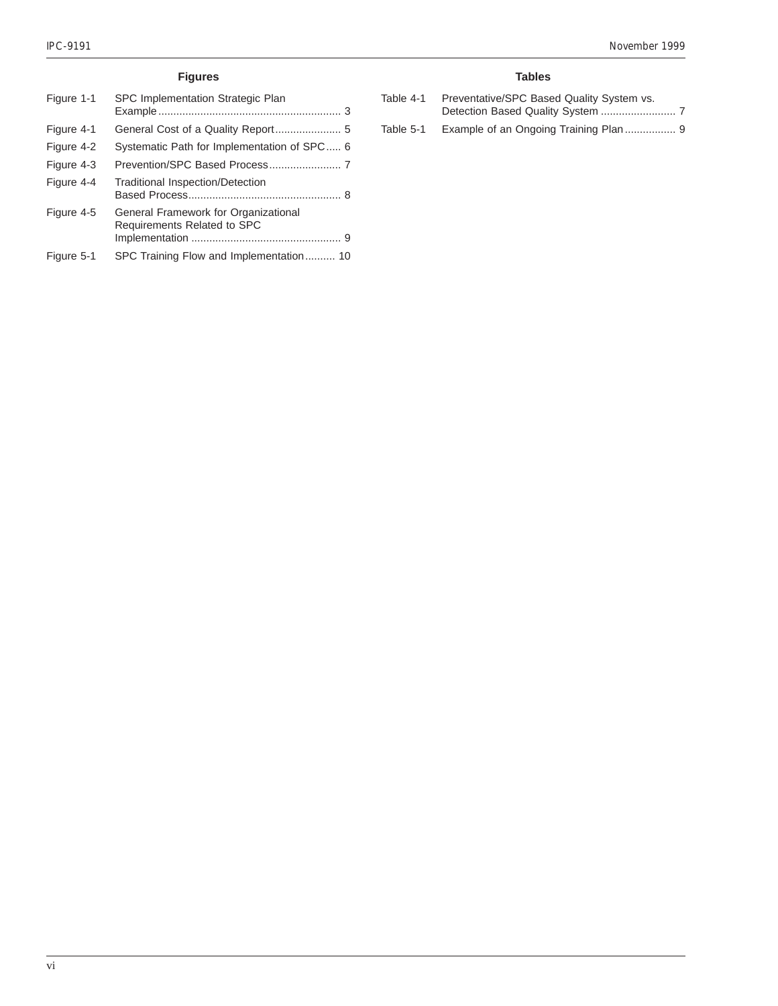#### **Figures**

| Figure 1-1 | SPC Implementation Strategic Plan                                   |
|------------|---------------------------------------------------------------------|
| Figure 4-1 |                                                                     |
| Figure 4-2 | Systematic Path for Implementation of SPC 6                         |
| Figure 4-3 |                                                                     |
| Figure 4-4 | <b>Traditional Inspection/Detection</b>                             |
| Figure 4-5 | General Framework for Organizational<br>Requirements Related to SPC |
| Figure 5-1 | SPC Training Flow and Implementation 10                             |

#### **Tables**

| Table 4-1 | Preventative/SPC Based Quality System vs. |  |
|-----------|-------------------------------------------|--|
|           |                                           |  |
| Table 5-1 | Example of an Ongoing Training Plan 9     |  |